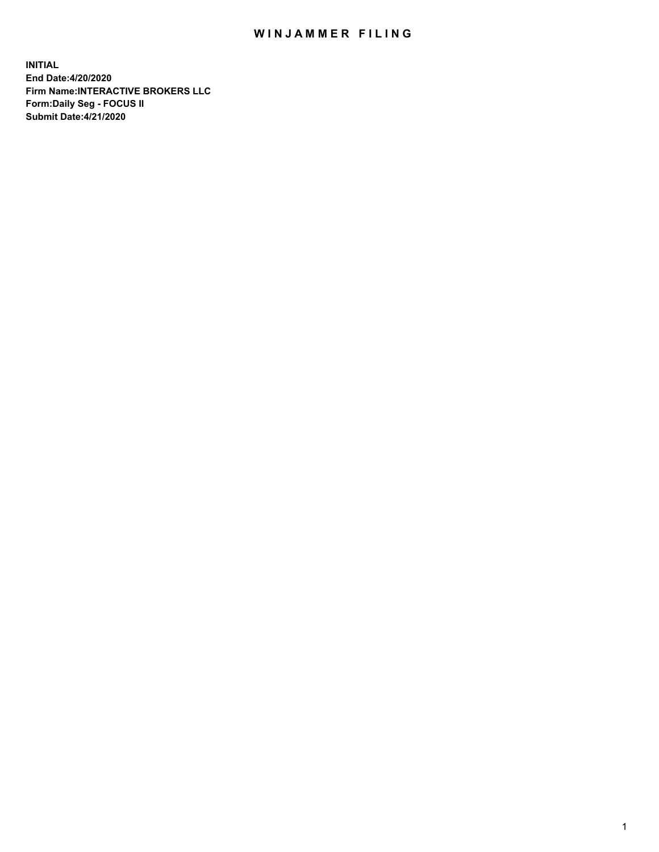## WIN JAMMER FILING

**INITIAL End Date:4/20/2020 Firm Name:INTERACTIVE BROKERS LLC Form:Daily Seg - FOCUS II Submit Date:4/21/2020**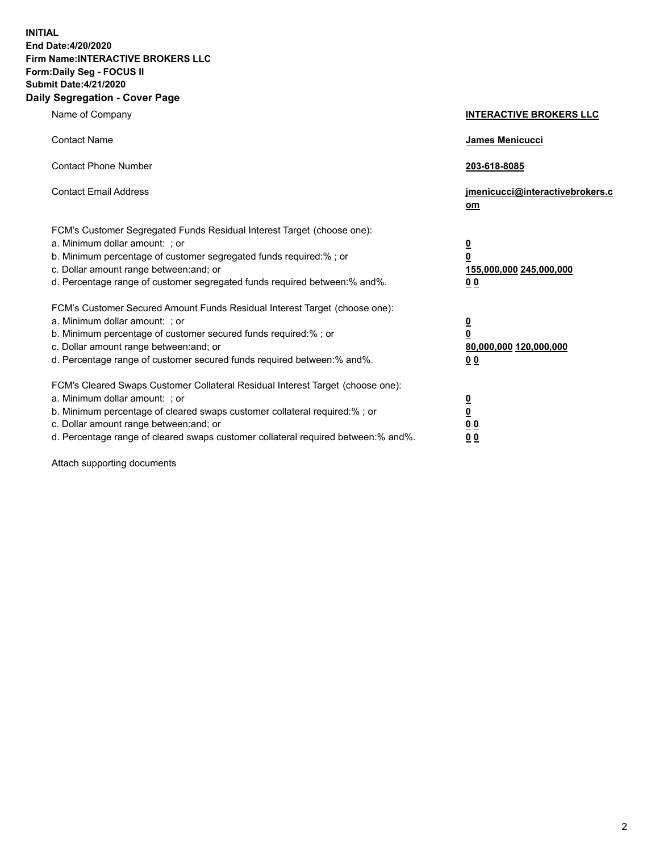**INITIAL End Date:4/20/2020 Firm Name:INTERACTIVE BROKERS LLC Form:Daily Seg - FOCUS II Submit Date:4/21/2020 Daily Segregation - Cover Page**

| Name of Company                                                                                                                                                                                                                                                                                                                | <b>INTERACTIVE BROKERS LLC</b>                                                   |
|--------------------------------------------------------------------------------------------------------------------------------------------------------------------------------------------------------------------------------------------------------------------------------------------------------------------------------|----------------------------------------------------------------------------------|
| <b>Contact Name</b>                                                                                                                                                                                                                                                                                                            | James Menicucci                                                                  |
| <b>Contact Phone Number</b>                                                                                                                                                                                                                                                                                                    | 203-618-8085                                                                     |
| <b>Contact Email Address</b>                                                                                                                                                                                                                                                                                                   | jmenicucci@interactivebrokers.c<br>om                                            |
| FCM's Customer Segregated Funds Residual Interest Target (choose one):<br>a. Minimum dollar amount: ; or<br>b. Minimum percentage of customer segregated funds required:% ; or<br>c. Dollar amount range between: and; or<br>d. Percentage range of customer segregated funds required between:% and%.                         | <u>0</u><br>$\overline{\mathbf{0}}$<br>155,000,000 245,000,000<br>0 <sub>0</sub> |
| FCM's Customer Secured Amount Funds Residual Interest Target (choose one):<br>a. Minimum dollar amount: ; or<br>b. Minimum percentage of customer secured funds required:% ; or<br>c. Dollar amount range between: and; or<br>d. Percentage range of customer secured funds required between:% and%.                           | <u>0</u><br>$\overline{\mathbf{0}}$<br>80,000,000 120,000,000<br>0 <sub>0</sub>  |
| FCM's Cleared Swaps Customer Collateral Residual Interest Target (choose one):<br>a. Minimum dollar amount: ; or<br>b. Minimum percentage of cleared swaps customer collateral required:% ; or<br>c. Dollar amount range between: and; or<br>d. Percentage range of cleared swaps customer collateral required between:% and%. | <u>0</u><br>$\underline{\mathbf{0}}$<br>0 <sub>0</sub><br>0 <sub>0</sub>         |

Attach supporting documents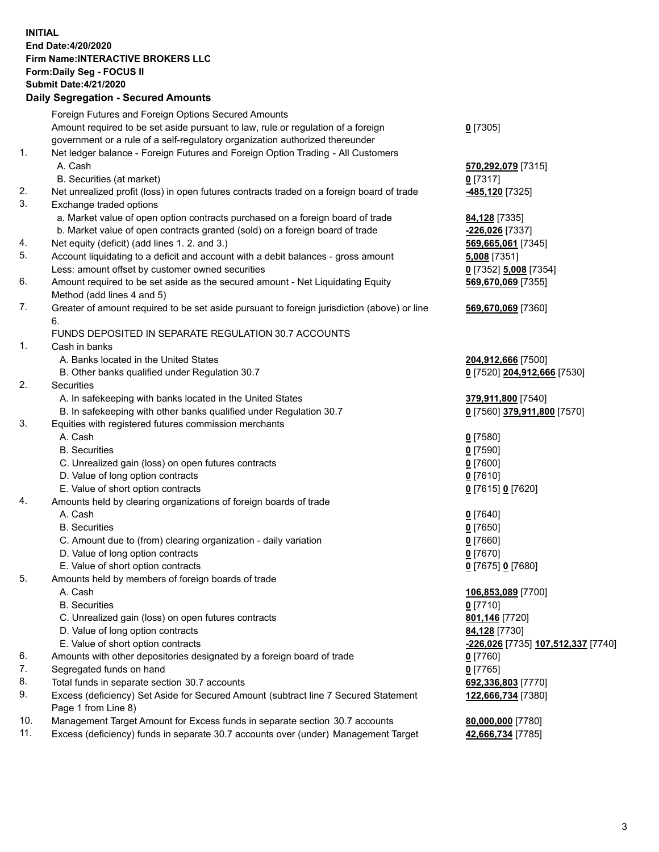**INITIAL End Date:4/20/2020 Firm Name:INTERACTIVE BROKERS LLC Form:Daily Seg - FOCUS II Submit Date:4/21/2020 Daily Segregation - Secured Amounts**

|     | Dany Ocgregation - Occarea Anioante                                                                        |                                                 |
|-----|------------------------------------------------------------------------------------------------------------|-------------------------------------------------|
|     | Foreign Futures and Foreign Options Secured Amounts                                                        |                                                 |
|     | Amount required to be set aside pursuant to law, rule or regulation of a foreign                           | $0$ [7305]                                      |
|     | government or a rule of a self-regulatory organization authorized thereunder                               |                                                 |
| 1.  | Net ledger balance - Foreign Futures and Foreign Option Trading - All Customers                            |                                                 |
|     | A. Cash                                                                                                    | 570,292,079 [7315]                              |
|     | B. Securities (at market)                                                                                  | $0$ [7317]                                      |
| 2.  | Net unrealized profit (loss) in open futures contracts traded on a foreign board of trade                  | -485,120 <sup>[7325]</sup>                      |
| 3.  | Exchange traded options                                                                                    |                                                 |
|     | a. Market value of open option contracts purchased on a foreign board of trade                             | 84,128 [7335]                                   |
|     | b. Market value of open contracts granted (sold) on a foreign board of trade                               | <mark>-226,026</mark> [7337]                    |
| 4.  | Net equity (deficit) (add lines 1. 2. and 3.)                                                              | 569,665,061 [7345]                              |
| 5.  | Account liquidating to a deficit and account with a debit balances - gross amount                          | 5,008 [7351]                                    |
|     | Less: amount offset by customer owned securities                                                           | 0 [7352] 5,008 [7354]                           |
| 6.  | Amount required to be set aside as the secured amount - Net Liquidating Equity                             | 569,670,069 [7355]                              |
| 7.  | Method (add lines 4 and 5)                                                                                 |                                                 |
|     | Greater of amount required to be set aside pursuant to foreign jurisdiction (above) or line                | 569,670,069 [7360]                              |
|     | 6.<br>FUNDS DEPOSITED IN SEPARATE REGULATION 30.7 ACCOUNTS                                                 |                                                 |
| 1.  | Cash in banks                                                                                              |                                                 |
|     | A. Banks located in the United States                                                                      | 204,912,666 [7500]                              |
|     | B. Other banks qualified under Regulation 30.7                                                             | 0 [7520] 204,912,666 [7530]                     |
| 2.  | Securities                                                                                                 |                                                 |
|     | A. In safekeeping with banks located in the United States                                                  | 379,911,800 [7540]                              |
|     | B. In safekeeping with other banks qualified under Regulation 30.7                                         | 0 [7560] 379,911,800 [7570]                     |
| 3.  | Equities with registered futures commission merchants                                                      |                                                 |
|     | A. Cash                                                                                                    | $0$ [7580]                                      |
|     | <b>B.</b> Securities                                                                                       | $0$ [7590]                                      |
|     | C. Unrealized gain (loss) on open futures contracts                                                        | $0$ [7600]                                      |
|     | D. Value of long option contracts                                                                          | $0$ [7610]                                      |
|     | E. Value of short option contracts                                                                         | 0 [7615] 0 [7620]                               |
| 4.  | Amounts held by clearing organizations of foreign boards of trade                                          |                                                 |
|     | A. Cash                                                                                                    | $0$ [7640]                                      |
|     | <b>B.</b> Securities                                                                                       | $0$ [7650]                                      |
|     | C. Amount due to (from) clearing organization - daily variation                                            | $0$ [7660]                                      |
|     | D. Value of long option contracts                                                                          | $0$ [7670]                                      |
|     | E. Value of short option contracts                                                                         | 0 [7675] 0 [7680]                               |
| 5.  | Amounts held by members of foreign boards of trade                                                         |                                                 |
|     | A. Cash                                                                                                    | 106,853,089 [7700]                              |
|     | <b>B.</b> Securities                                                                                       | $0$ [7710]                                      |
|     | C. Unrealized gain (loss) on open futures contracts                                                        | 801,146 [7720]                                  |
|     | D. Value of long option contracts                                                                          | 84,128 [7730]                                   |
|     | E. Value of short option contracts                                                                         | <mark>-226,026</mark> [7735] 107,512,337 [7740] |
| 6.  | Amounts with other depositories designated by a foreign board of trade                                     | $0$ [7760]                                      |
| 7.  | Segregated funds on hand                                                                                   | $0$ [7765]                                      |
| 8.  | Total funds in separate section 30.7 accounts                                                              | 692,336,803 [7770]                              |
| 9.  | Excess (deficiency) Set Aside for Secured Amount (subtract line 7 Secured Statement<br>Page 1 from Line 8) | 122,666,734 [7380]                              |
| 10. | Management Target Amount for Excess funds in separate section 30.7 accounts                                | 80,000,000 [7780]                               |
| 11. | Excess (deficiency) funds in separate 30.7 accounts over (under) Management Target                         | 42,666,734 [7785]                               |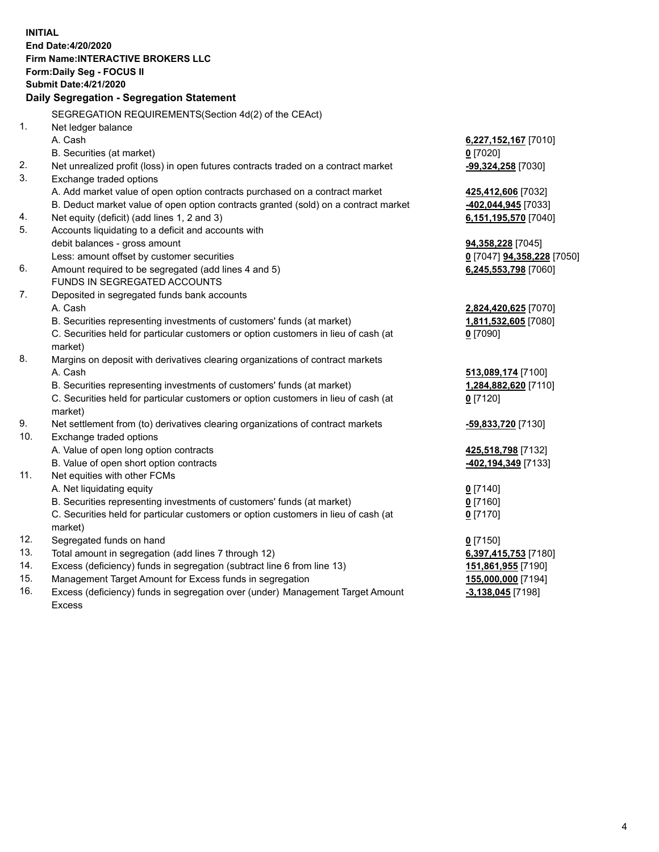**INITIAL End Date:4/20/2020 Firm Name:INTERACTIVE BROKERS LLC Form:Daily Seg - FOCUS II Submit Date:4/21/2020 Daily Segregation - Segregation Statement** SEGREGATION REQUIREMENTS(Section 4d(2) of the CEAct) 1. Net ledger balance A. Cash **6,227,152,167** [7010] B. Securities (at market) **0** [7020] 2. Net unrealized profit (loss) in open futures contracts traded on a contract market **-99,324,258** [7030] 3. Exchange traded options A. Add market value of open option contracts purchased on a contract market **425,412,606** [7032] B. Deduct market value of open option contracts granted (sold) on a contract market **-402,044,945** [7033] 4. Net equity (deficit) (add lines 1, 2 and 3) **6,151,195,570** [7040] 5. Accounts liquidating to a deficit and accounts with debit balances - gross amount **94,358,228** [7045] Less: amount offset by customer securities **0** [7047] **94,358,228** [7050] 6. Amount required to be segregated (add lines 4 and 5) **6,245,553,798** [7060] FUNDS IN SEGREGATED ACCOUNTS 7. Deposited in segregated funds bank accounts A. Cash **2,824,420,625** [7070] B. Securities representing investments of customers' funds (at market) **1,811,532,605** [7080] C. Securities held for particular customers or option customers in lieu of cash (at market) **0** [7090] 8. Margins on deposit with derivatives clearing organizations of contract markets A. Cash **513,089,174** [7100] B. Securities representing investments of customers' funds (at market) **1,284,882,620** [7110] C. Securities held for particular customers or option customers in lieu of cash (at market) **0** [7120] 9. Net settlement from (to) derivatives clearing organizations of contract markets **-59,833,720** [7130] 10. Exchange traded options A. Value of open long option contracts **425,518,798** [7132] B. Value of open short option contracts **-402,194,349** [7133] 11. Net equities with other FCMs A. Net liquidating equity **0** [7140] B. Securities representing investments of customers' funds (at market) **0** [7160] C. Securities held for particular customers or option customers in lieu of cash (at market) **0** [7170] 12. Segregated funds on hand **0** [7150] 13. Total amount in segregation (add lines 7 through 12) **6,397,415,753** [7180] 14. Excess (deficiency) funds in segregation (subtract line 6 from line 13) **151,861,955** [7190] 15. Management Target Amount for Excess funds in segregation **155,000,000** [7194] 16. Excess (deficiency) funds in segregation over (under) Management Target Amount **-3,138,045** [7198]

Excess